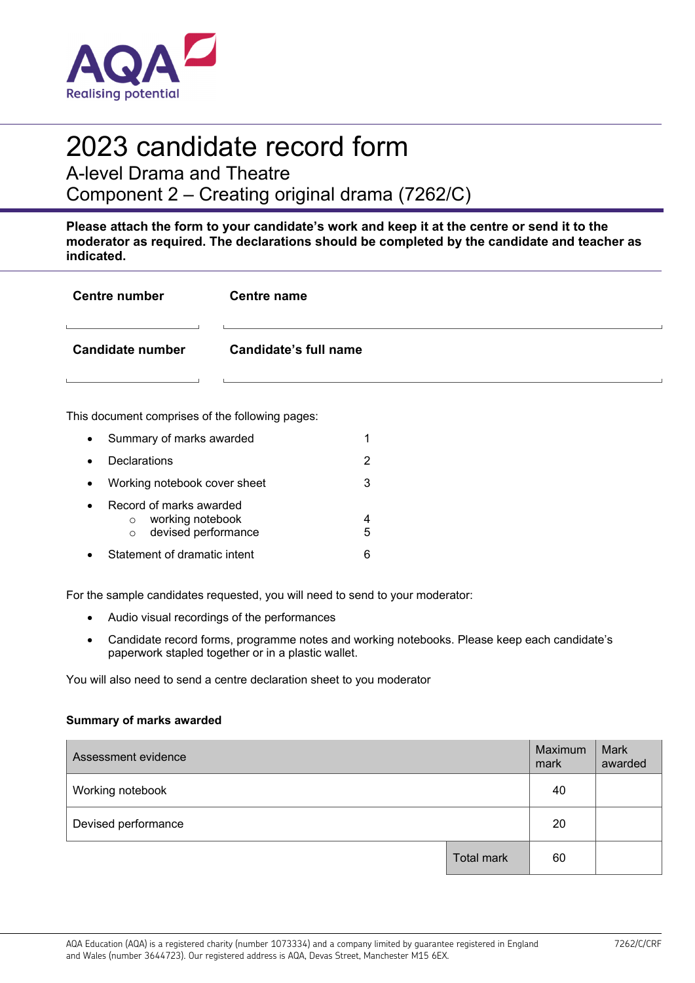

# 2023 candidate record form

A-level Drama and Theatre

Component 2 – Creating original drama (7262/C)

**Please attach the form to your candidate's work and keep it at the centre or send it to the moderator as required. The declarations should be completed by the candidate and teacher as indicated.** 

| <b>Centre number</b> | <b>Centre name</b>    |
|----------------------|-----------------------|
| Candidate number     | Candidate's full name |
|                      |                       |

This document comprises of the following pages:

| $\bullet$ | Summary of marks awarded                                                                 |   |
|-----------|------------------------------------------------------------------------------------------|---|
| $\bullet$ | Declarations                                                                             |   |
| $\bullet$ | Working notebook cover sheet                                                             | З |
| $\bullet$ | Record of marks awarded<br>working notebook<br>$\circ$<br>devised performance<br>$\circ$ | 5 |
|           | Statement of dramatic intent                                                             |   |

For the sample candidates requested, you will need to send to your moderator:

- Audio visual recordings of the performances
- Candidate record forms, programme notes and working notebooks. Please keep each candidate's paperwork stapled together or in a plastic wallet.

You will also need to send a centre declaration sheet to you moderator

#### **Summary of marks awarded**

| Assessment evidence |            | Maximum<br>mark | Mark<br>awarded |
|---------------------|------------|-----------------|-----------------|
| Working notebook    |            | 40              |                 |
| Devised performance |            | 20              |                 |
|                     | Total mark | 60              |                 |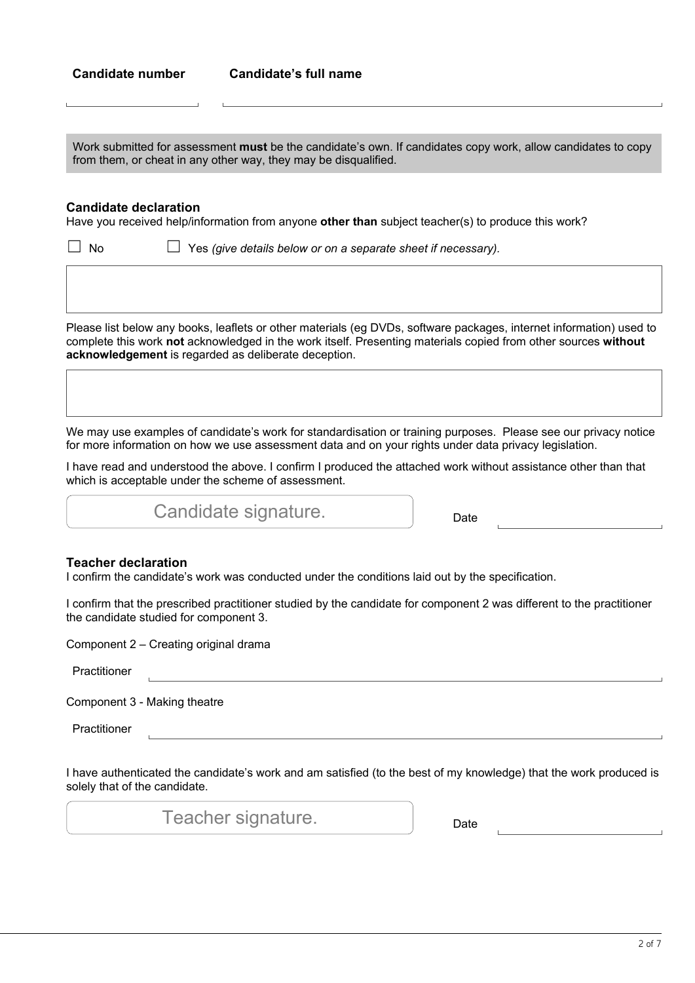Work submitted for assessment **must** be the candidate's own. If candidates copy work, allow candidates to copy from them, or cheat in any other way, they may be disqualified.

#### **Candidate declaration**

Have you received help/information from anyone **other than** subject teacher(s) to produce this work?

☐ No ☐ Yes *(give details below or on a separate sheet if necessary).*

Please list below any books, leaflets or other materials (eg DVDs, software packages, internet information) used to complete this work **not** acknowledged in the work itself. Presenting materials copied from other sources **without acknowledgement** is regarded as deliberate deception.

We may use examples of candidate's work for standardisation or training purposes. Please see our privacy notice for more information on how we use assessment data and on your rights under data privacy legislation.

I have read and understood the above. I confirm I produced the attached work without assistance other than that which is acceptable under the scheme of assessment.

Candidate signature. **Example 2** Date

#### **Teacher declaration**

I confirm the candidate's work was conducted under the conditions laid out by the specification.

I confirm that the prescribed practitioner studied by the candidate for component 2 was different to the practitioner the candidate studied for component 3.

Component 2 – Creating original drama

Practitioner

Component 3 - Making theatre

Practitioner

I have authenticated the candidate's work and am satisfied (to the best of my knowledge) that the work produced is solely that of the candidate.

Teacher signature.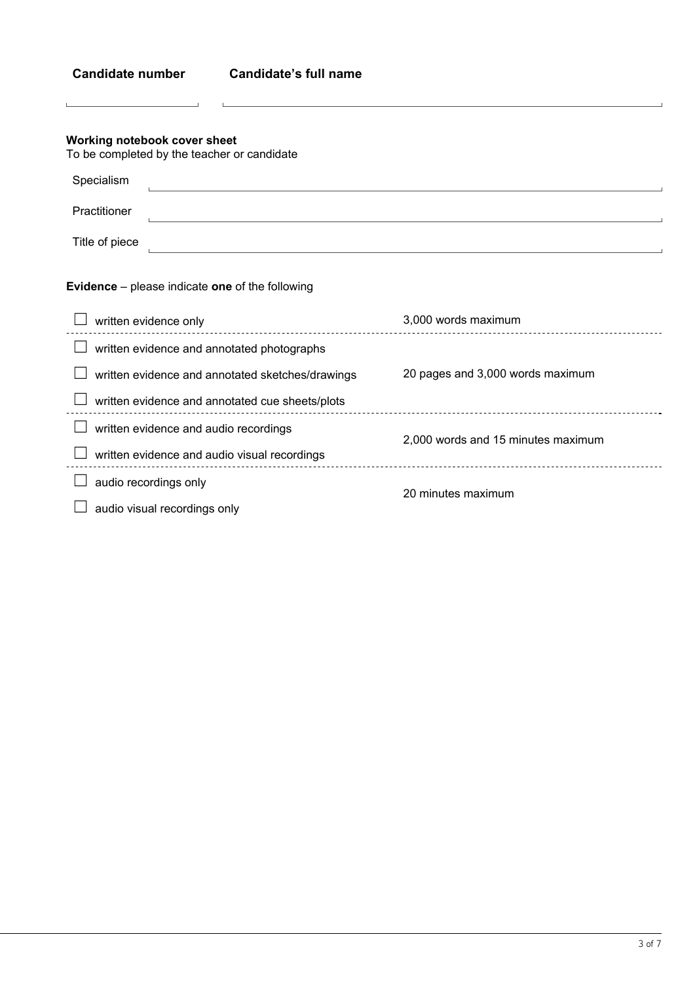| <b>Candidate number</b>                                                         | <b>Candidate's full name</b>                                                                                         |                                    |
|---------------------------------------------------------------------------------|----------------------------------------------------------------------------------------------------------------------|------------------------------------|
| Working notebook cover sheet<br>To be completed by the teacher or candidate     |                                                                                                                      |                                    |
| Specialism                                                                      |                                                                                                                      |                                    |
| Practitioner                                                                    | <u> 1989 - Johann Stein, marwolaethau a bhann an t-Amhainn an t-Amhainn an t-Amhainn an t-Amhainn an t-Amhainn a</u> |                                    |
| Title of piece                                                                  |                                                                                                                      |                                    |
| <b>Evidence</b> – please indicate one of the following<br>written evidence only |                                                                                                                      | 3,000 words maximum                |
|                                                                                 | _______________________<br>written evidence and annotated photographs                                                |                                    |
|                                                                                 | written evidence and annotated sketches/drawings<br>written evidence and annotated cue sheets/plots                  | 20 pages and 3,000 words maximum   |
| written evidence and audio recordings                                           | written evidence and audio visual recordings                                                                         | 2,000 words and 15 minutes maximum |
| audio recordings only<br>audio visual recordings only                           |                                                                                                                      | 20 minutes maximum                 |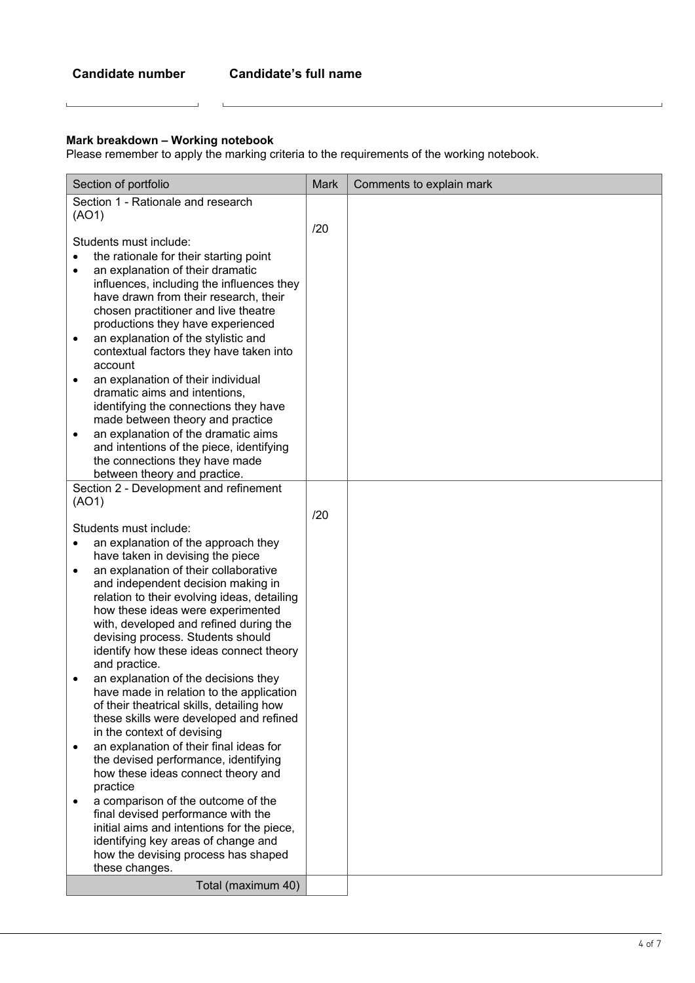$\mathbf{L}$ 

#### **Mark breakdown – Working notebook**

 $\overline{\phantom{0}}$ 

 $\mathbf{L}$ 

Please remember to apply the marking criteria to the requirements of the working notebook.

| Section of portfolio                                                             | <b>Mark</b> | Comments to explain mark |
|----------------------------------------------------------------------------------|-------------|--------------------------|
| Section 1 - Rationale and research                                               |             |                          |
| (AO1)                                                                            |             |                          |
|                                                                                  | /20         |                          |
| Students must include:                                                           |             |                          |
| the rationale for their starting point                                           |             |                          |
| an explanation of their dramatic<br>٠                                            |             |                          |
| influences, including the influences they                                        |             |                          |
| have drawn from their research, their                                            |             |                          |
| chosen practitioner and live theatre                                             |             |                          |
| productions they have experienced<br>an explanation of the stylistic and<br>٠    |             |                          |
| contextual factors they have taken into                                          |             |                          |
| account                                                                          |             |                          |
| an explanation of their individual                                               |             |                          |
| dramatic aims and intentions,                                                    |             |                          |
| identifying the connections they have                                            |             |                          |
| made between theory and practice                                                 |             |                          |
| an explanation of the dramatic aims<br>٠                                         |             |                          |
| and intentions of the piece, identifying                                         |             |                          |
| the connections they have made<br>between theory and practice.                   |             |                          |
| Section 2 - Development and refinement                                           |             |                          |
| (AO1)                                                                            |             |                          |
|                                                                                  | /20         |                          |
| Students must include:                                                           |             |                          |
| an explanation of the approach they                                              |             |                          |
| have taken in devising the piece                                                 |             |                          |
| an explanation of their collaborative<br>$\bullet$                               |             |                          |
| and independent decision making in                                               |             |                          |
| relation to their evolving ideas, detailing<br>how these ideas were experimented |             |                          |
| with, developed and refined during the                                           |             |                          |
| devising process. Students should                                                |             |                          |
| identify how these ideas connect theory                                          |             |                          |
| and practice.                                                                    |             |                          |
| an explanation of the decisions they                                             |             |                          |
| have made in relation to the application                                         |             |                          |
| of their theatrical skills, detailing how                                        |             |                          |
| these skills were developed and refined<br>in the context of devising            |             |                          |
| an explanation of their final ideas for<br>٠                                     |             |                          |
| the devised performance, identifying                                             |             |                          |
| how these ideas connect theory and                                               |             |                          |
| practice                                                                         |             |                          |
| a comparison of the outcome of the<br>$\bullet$                                  |             |                          |
| final devised performance with the                                               |             |                          |
| initial aims and intentions for the piece,                                       |             |                          |
| identifying key areas of change and                                              |             |                          |
| how the devising process has shaped<br>these changes.                            |             |                          |
|                                                                                  |             |                          |
| Total (maximum 40)                                                               |             |                          |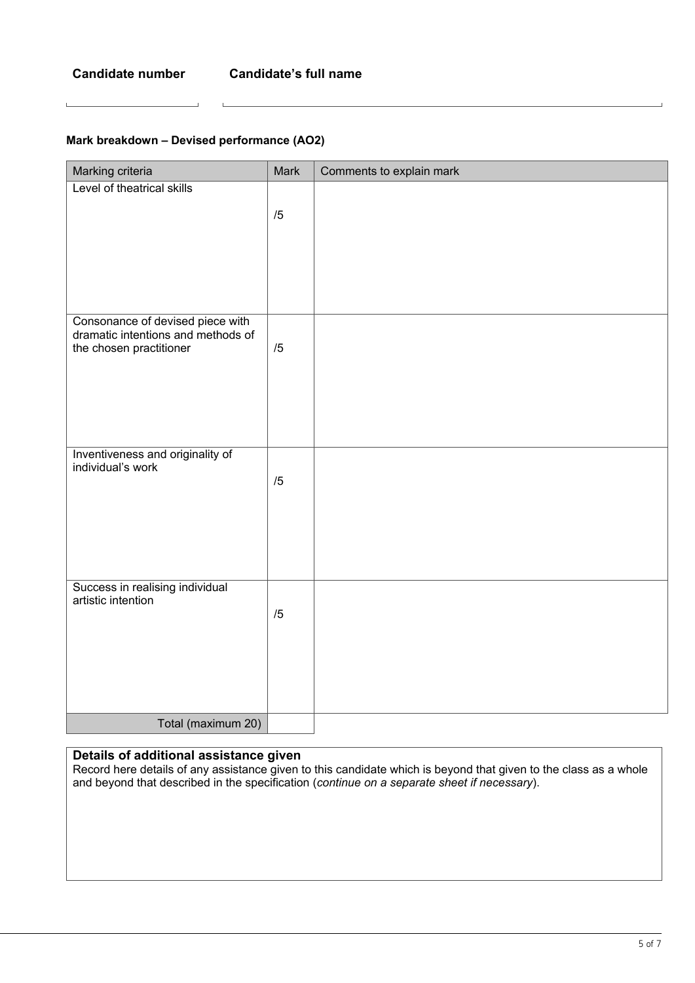#### **Mark breakdown – Devised performance (AO2)**

| Marking criteria                                              | Mark | Comments to explain mark |
|---------------------------------------------------------------|------|--------------------------|
| Level of theatrical skills                                    |      |                          |
|                                                               | /5   |                          |
|                                                               |      |                          |
|                                                               |      |                          |
|                                                               |      |                          |
|                                                               |      |                          |
| Consonance of devised piece with                              |      |                          |
| dramatic intentions and methods of<br>the chosen practitioner | /5   |                          |
|                                                               |      |                          |
|                                                               |      |                          |
|                                                               |      |                          |
|                                                               |      |                          |
| Inventiveness and originality of                              |      |                          |
| individual's work                                             | /5   |                          |
|                                                               |      |                          |
|                                                               |      |                          |
|                                                               |      |                          |
|                                                               |      |                          |
| Success in realising individual                               |      |                          |
| artistic intention                                            |      |                          |
|                                                               | /5   |                          |
|                                                               |      |                          |
|                                                               |      |                          |
|                                                               |      |                          |
|                                                               |      |                          |
| Total (maximum 20)                                            |      |                          |

## **Details of additional assistance given**

Record here details of any assistance given to this candidate which is beyond that given to the class as a whole and beyond that described in the specification (*continue on a separate sheet if necessary*).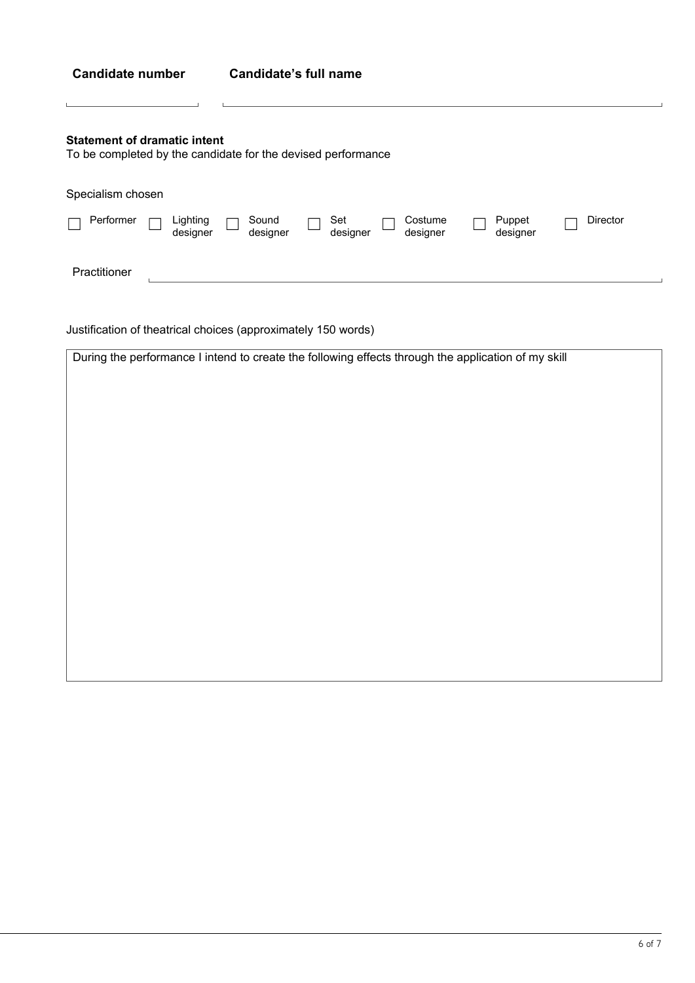| <b>Candidate number</b> |  |
|-------------------------|--|
|-------------------------|--|

L

### **Statement of dramatic intent**

To be completed by the candidate for the devised performance

 $\mathbf{L}$ 

 $\overline{1}$ 

| Specialism chosen |                      |                   |                 |                     |                    |          |  |
|-------------------|----------------------|-------------------|-----------------|---------------------|--------------------|----------|--|
| Performer         | Lighting<br>designer | Sound<br>designer | Set<br>designer | Costume<br>designer | Puppet<br>designer | Director |  |
| Practitioner      |                      |                   |                 |                     |                    |          |  |

Justification of theatrical choices (approximately 150 words)

| During the performance I intend to create the following effects through the application of my skill |
|-----------------------------------------------------------------------------------------------------|
|                                                                                                     |
|                                                                                                     |
|                                                                                                     |
|                                                                                                     |
|                                                                                                     |
|                                                                                                     |
|                                                                                                     |
|                                                                                                     |
|                                                                                                     |
|                                                                                                     |
|                                                                                                     |
|                                                                                                     |
|                                                                                                     |
|                                                                                                     |
|                                                                                                     |